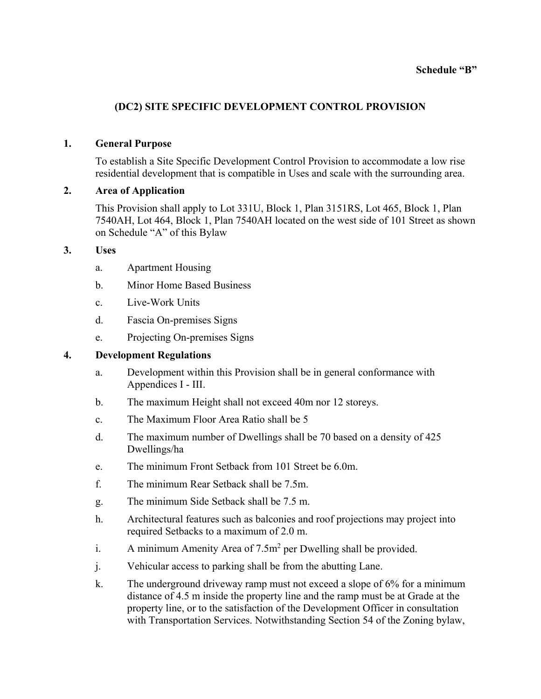#### **Schedule "B"**

# **(DC2) SITE SPECIFIC DEVELOPMENT CONTROL PROVISION**

### **1. General Purpose**

To establish a Site Specific Development Control Provision to accommodate a low rise residential development that is compatible in Uses and scale with the surrounding area.

### **2. Area of Application**

This Provision shall apply to Lot 331U, Block 1, Plan 3151RS, Lot 465, Block 1, Plan 7540AH, Lot 464, Block 1, Plan 7540AH located on the west side of 101 Street as shown on Schedule "A" of this Bylaw

## **3. Uses**

- a. Apartment Housing
- b. Minor Home Based Business
- c. Live-Work Units
- d. Fascia On-premises Signs
- e. Projecting On-premises Signs

## **4. Development Regulations**

- a. Development within this Provision shall be in general conformance with Appendices I - III.
- b. The maximum Height shall not exceed 40m nor 12 storeys.
- c. The Maximum Floor Area Ratio shall be 5
- d. The maximum number of Dwellings shall be 70 based on a density of 425 Dwellings/ha
- e. The minimum Front Setback from 101 Street be 6.0m.
- f. The minimum Rear Setback shall be 7.5m.
- g. The minimum Side Setback shall be 7.5 m.
- h. Architectural features such as balconies and roof projections may project into required Setbacks to a maximum of 2.0 m.
- i. A minimum Amenity Area of  $7.5m^2$  per Dwelling shall be provided.
- j. Vehicular access to parking shall be from the abutting Lane.
- k. The underground driveway ramp must not exceed a slope of 6% for a minimum distance of 4.5 m inside the property line and the ramp must be at Grade at the property line, or to the satisfaction of the Development Officer in consultation with Transportation Services. Notwithstanding Section 54 of the Zoning bylaw,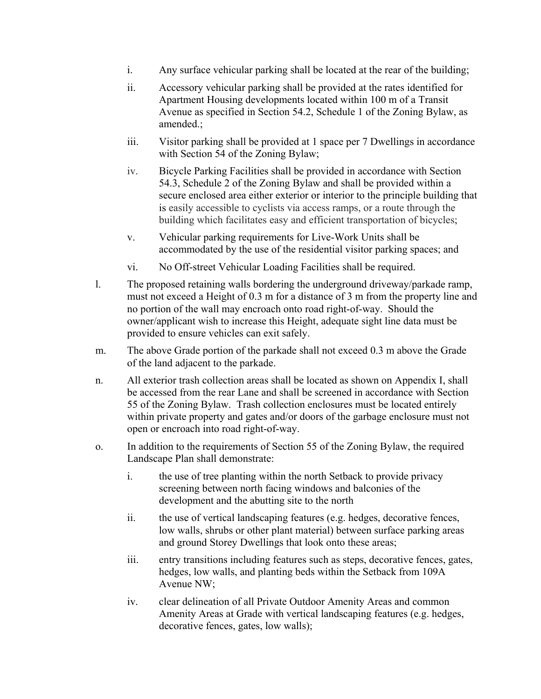- i. Any surface vehicular parking shall be located at the rear of the building;
- ii. Accessory vehicular parking shall be provided at the rates identified for Apartment Housing developments located within 100 m of a Transit Avenue as specified in Section 54.2, Schedule 1 of the Zoning Bylaw, as amended.;
- iii. Visitor parking shall be provided at 1 space per 7 Dwellings in accordance with Section 54 of the Zoning Bylaw;
- iv. Bicycle Parking Facilities shall be provided in accordance with Section 54.3, Schedule 2 of the Zoning Bylaw and shall be provided within a secure enclosed area either exterior or interior to the principle building that is easily accessible to cyclists via access ramps, or a route through the building which facilitates easy and efficient transportation of bicycles;
- v. Vehicular parking requirements for Live-Work Units shall be accommodated by the use of the residential visitor parking spaces; and
- vi. No Off-street Vehicular Loading Facilities shall be required.
- l. The proposed retaining walls bordering the underground driveway/parkade ramp, must not exceed a Height of 0.3 m for a distance of 3 m from the property line and no portion of the wall may encroach onto road right-of-way. Should the owner/applicant wish to increase this Height, adequate sight line data must be provided to ensure vehicles can exit safely.
- m. The above Grade portion of the parkade shall not exceed 0.3 m above the Grade of the land adjacent to the parkade.
- n. All exterior trash collection areas shall be located as shown on Appendix I, shall be accessed from the rear Lane and shall be screened in accordance with Section 55 of the Zoning Bylaw. Trash collection enclosures must be located entirely within private property and gates and/or doors of the garbage enclosure must not open or encroach into road right-of-way.
- o. In addition to the requirements of Section 55 of the Zoning Bylaw, the required Landscape Plan shall demonstrate:
	- i. the use of tree planting within the north Setback to provide privacy screening between north facing windows and balconies of the development and the abutting site to the north
	- ii. the use of vertical landscaping features (e.g. hedges, decorative fences, low walls, shrubs or other plant material) between surface parking areas and ground Storey Dwellings that look onto these areas;
	- iii. entry transitions including features such as steps, decorative fences, gates, hedges, low walls, and planting beds within the Setback from 109A Avenue NW;
	- iv. clear delineation of all Private Outdoor Amenity Areas and common Amenity Areas at Grade with vertical landscaping features (e.g. hedges, decorative fences, gates, low walls);